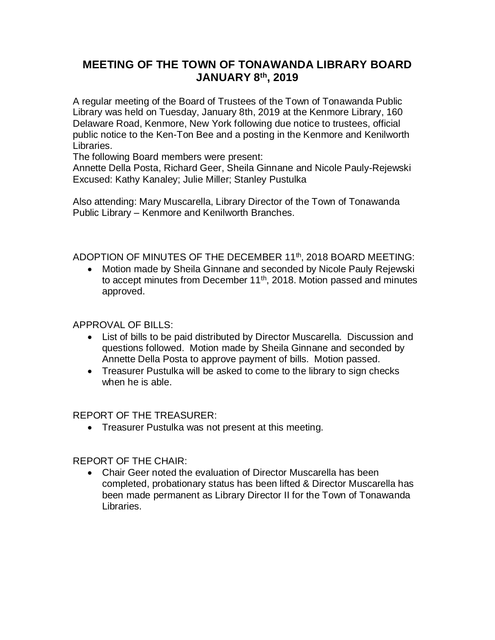# **MEETING OF THE TOWN OF TONAWANDA LIBRARY BOARD JANUARY 8th, 2019**

A regular meeting of the Board of Trustees of the Town of Tonawanda Public Library was held on Tuesday, January 8th, 2019 at the Kenmore Library, 160 Delaware Road, Kenmore, New York following due notice to trustees, official public notice to the Ken-Ton Bee and a posting in the Kenmore and Kenilworth Libraries.

The following Board members were present:

Annette Della Posta, Richard Geer, Sheila Ginnane and Nicole Pauly-Rejewski Excused: Kathy Kanaley; Julie Miller; Stanley Pustulka

Also attending: Mary Muscarella, Library Director of the Town of Tonawanda Public Library – Kenmore and Kenilworth Branches.

ADOPTION OF MINUTES OF THE DECEMBER 11<sup>th</sup>, 2018 BOARD MEETING:

 Motion made by Sheila Ginnane and seconded by Nicole Pauly Rejewski to accept minutes from December 11<sup>th</sup>, 2018. Motion passed and minutes approved.

APPROVAL OF BILLS:

- List of bills to be paid distributed by Director Muscarella. Discussion and questions followed. Motion made by Sheila Ginnane and seconded by Annette Della Posta to approve payment of bills. Motion passed.
- Treasurer Pustulka will be asked to come to the library to sign checks when he is able.

REPORT OF THE TREASURER:

Treasurer Pustulka was not present at this meeting.

REPORT OF THE CHAIR:

 Chair Geer noted the evaluation of Director Muscarella has been completed, probationary status has been lifted & Director Muscarella has been made permanent as Library Director II for the Town of Tonawanda Libraries.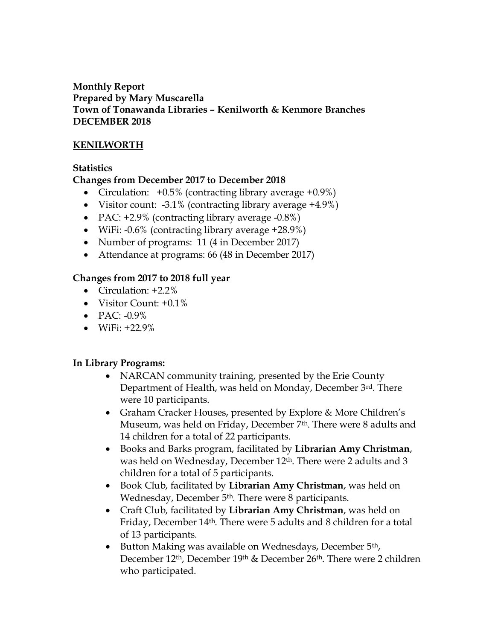### **Monthly Report Prepared by Mary Muscarella Town of Tonawanda Libraries – Kenilworth & Kenmore Branches DECEMBER 2018**

# **KENILWORTH**

# **Statistics**

# **Changes from December 2017 to December 2018**

- Circulation:  $+0.5\%$  (contracting library average  $+0.9\%$ )
- Visitor count:  $-3.1\%$  (contracting library average  $+4.9\%$ )
- PAC: +2.9% (contracting library average -0.8%)
- WiFi: -0.6% (contracting library average +28.9%)
- Number of programs: 11 (4 in December 2017)
- Attendance at programs: 66 (48 in December 2017)

# **Changes from 2017 to 2018 full year**

- Circulation: +2.2%
- Visitor Count: +0.1%
- $\bullet$  PAC: -0.9%
- $\bullet$  WiFi: +22.9%

# **In Library Programs:**

- NARCAN community training, presented by the Erie County Department of Health, was held on Monday, December 3rd. There were 10 participants.
- Graham Cracker Houses, presented by Explore & More Children's Museum, was held on Friday, December 7th. There were 8 adults and 14 children for a total of 22 participants.
- Books and Barks program, facilitated by **Librarian Amy Christman**, was held on Wednesday, December 12th. There were 2 adults and 3 children for a total of 5 participants.
- Book Club, facilitated by **Librarian Amy Christman**, was held on Wednesday, December 5th. There were 8 participants.
- Craft Club, facilitated by **Librarian Amy Christman**, was held on Friday, December 14th. There were 5 adults and 8 children for a total of 13 participants.
- Button Making was available on Wednesdays, December 5<sup>th</sup>, December 12th, December 19th & December 26th. There were 2 children who participated.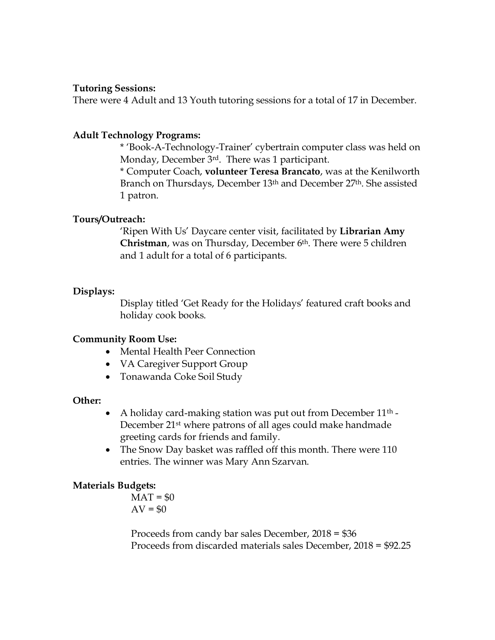#### **Tutoring Sessions:**

There were 4 Adult and 13 Youth tutoring sessions for a total of 17 in December.

#### **Adult Technology Programs:**

\* 'Book-A-Technology-Trainer' cybertrain computer class was held on Monday, December 3rd. There was 1 participant.

\* Computer Coach, **volunteer Teresa Brancato**, was at the Kenilworth Branch on Thursdays, December 13th and December 27th. She assisted 1 patron.

#### **Tours/Outreach:**

'Ripen With Us' Daycare center visit, facilitated by **Librarian Amy Christman**, was on Thursday, December 6th. There were 5 children and 1 adult for a total of 6 participants.

#### **Displays:**

Display titled 'Get Ready for the Holidays' featured craft books and holiday cook books.

#### **Community Room Use:**

- Mental Health Peer Connection
- VA Caregiver Support Group
- Tonawanda Coke Soil Study

#### **Other:**

- A holiday card-making station was put out from December  $11<sup>th</sup>$  -December 21st where patrons of all ages could make handmade greeting cards for friends and family.
- The Snow Day basket was raffled off this month. There were 110 entries. The winner was Mary Ann Szarvan.

#### **Materials Budgets:**

 $MAT = $0$  $AV = $0$ 

Proceeds from candy bar sales December, 2018 = \$36 Proceeds from discarded materials sales December, 2018 = \$92.25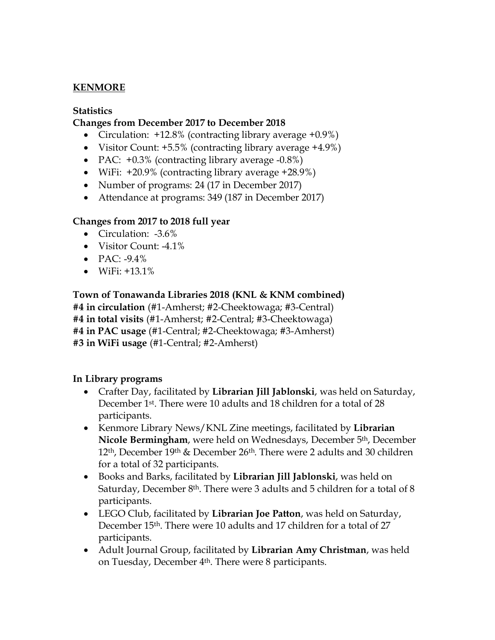# **KENMORE**

#### **Statistics**

### **Changes from December 2017 to December 2018**

- Circulation: +12.8% (contracting library average +0.9%)
- Visitor Count: +5.5% (contracting library average +4.9%)
- PAC: +0.3% (contracting library average -0.8%)
- WiFi: +20.9% (contracting library average +28.9%)
- Number of programs: 24 (17 in December 2017)
- Attendance at programs: 349 (187 in December 2017)

### **Changes from 2017 to 2018 full year**

- Circulation: -3.6%
- Visitor Count: -4.1%
- $\bullet$  PAC: -9.4%
- $\bullet$  WiFi:  $+13.1\%$

### **Town of Tonawanda Libraries 2018 (KNL & KNM combined)**

**#4 in circulation** (#1-Amherst; #2-Cheektowaga; #3-Central) **#4 in total visits** (#1-Amherst; #2-Central; #3-Cheektowaga) **#4 in PAC usage** (#1-Central; #2-Cheektowaga; #3-Amherst) **#3 in WiFi usage** (#1-Central; #2-Amherst)

### **In Library programs**

- Crafter Day, facilitated by **Librarian Jill Jablonski**, was held on Saturday, December 1st. There were 10 adults and 18 children for a total of 28 participants.
- Kenmore Library News/KNL Zine meetings, facilitated by **Librarian Nicole Bermingham**, were held on Wednesdays, December 5th, December 12th, December 19th & December 26th. There were 2 adults and 30 children for a total of 32 participants.
- Books and Barks, facilitated by **Librarian Jill Jablonski**, was held on Saturday, December 8th. There were 3 adults and 5 children for a total of 8 participants.
- LEGO Club, facilitated by **Librarian Joe Patton**, was held on Saturday, December 15th. There were 10 adults and 17 children for a total of 27 participants.
- Adult Journal Group, facilitated by **Librarian Amy Christman**, was held on Tuesday, December 4th. There were 8 participants.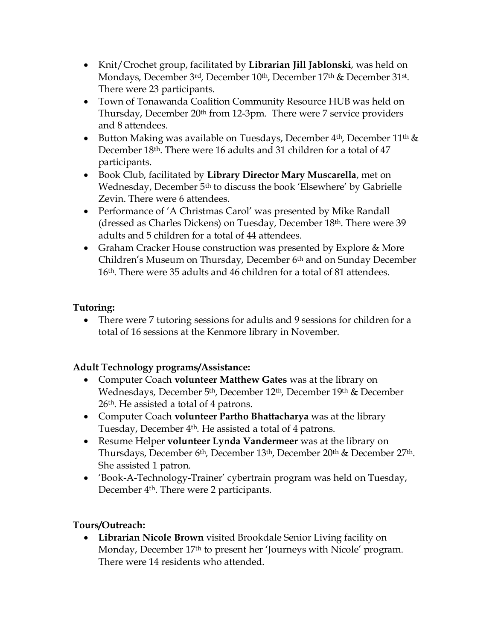- Knit/Crochet group, facilitated by **Librarian Jill Jablonski**, was held on Mondays, December 3<sup>rd</sup>, December 10<sup>th</sup>, December 17<sup>th</sup> & December 31<sup>st</sup>. There were 23 participants.
- Town of Tonawanda Coalition Community Resource HUB was held on Thursday, December 20th from 12-3pm. There were 7 service providers and 8 attendees.
- Button Making was available on Tuesdays, December  $4<sup>th</sup>$ , December  $11<sup>th</sup>$  & December 18th. There were 16 adults and 31 children for a total of 47 participants.
- Book Club, facilitated by **Library Director Mary Muscarella**, met on Wednesday, December 5th to discuss the book 'Elsewhere' by Gabrielle Zevin. There were 6 attendees.
- Performance of 'A Christmas Carol' was presented by Mike Randall (dressed as Charles Dickens) on Tuesday, December 18th. There were 39 adults and 5 children for a total of 44 attendees.
- Graham Cracker House construction was presented by Explore & More Children's Museum on Thursday, December 6<sup>th</sup> and on Sunday December 16th. There were 35 adults and 46 children for a total of 81 attendees.

# **Tutoring:**

• There were 7 tutoring sessions for adults and 9 sessions for children for a total of 16 sessions at the Kenmore library in November.

# **Adult Technology programs/Assistance:**

- Computer Coach **volunteer Matthew Gates** was at the library on Wednesdays, December 5th, December 12th, December 19th & December 26th. He assisted a total of 4 patrons.
- Computer Coach **volunteer Partho Bhattacharya** was at the library Tuesday, December 4th. He assisted a total of 4 patrons.
- Resume Helper **volunteer Lynda Vandermeer** was at the library on Thursdays, December 6th, December 13th, December 20th & December 27th. She assisted 1 patron.
- 'Book-A-Technology-Trainer' cybertrain program was held on Tuesday, December 4th. There were 2 participants.

# **Tours/Outreach:**

 **Librarian Nicole Brown** visited Brookdale Senior Living facility on Monday, December 17th to present her 'Journeys with Nicole' program. There were 14 residents who attended.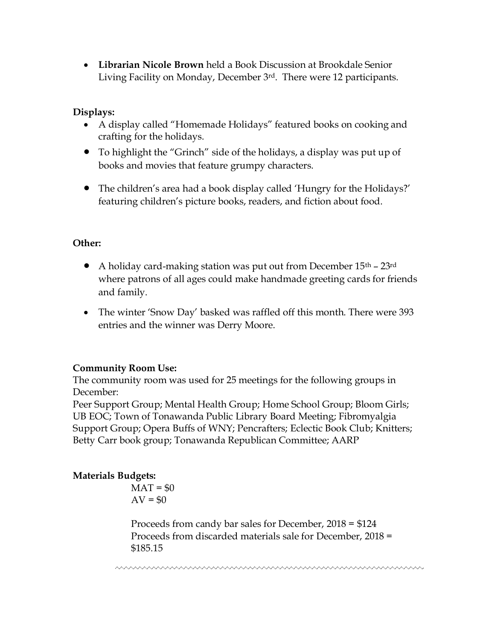**Librarian Nicole Brown** held a Book Discussion at Brookdale Senior Living Facility on Monday, December 3rd. There were 12 participants.

# **Displays:**

- A display called "Homemade Holidays" featured books on cooking and crafting for the holidays.
- To highlight the "Grinch" side of the holidays, a display was put up of books and movies that feature grumpy characters.
- The children's area had a book display called 'Hungry for the Holidays?' featuring children's picture books, readers, and fiction about food.

# **Other:**

- A holiday card-making station was put out from December  $15<sup>th</sup>$   $23<sup>rd</sup>$ where patrons of all ages could make handmade greeting cards for friends and family.
- The winter 'Snow Day' basked was raffled off this month. There were 393 entries and the winner was Derry Moore.

# **Community Room Use:**

The community room was used for 25 meetings for the following groups in December:

Peer Support Group; Mental Health Group; Home School Group; Bloom Girls; UB EOC; Town of Tonawanda Public Library Board Meeting; Fibromyalgia Support Group; Opera Buffs of WNY; Pencrafters; Eclectic Book Club; Knitters; Betty Carr book group; Tonawanda Republican Committee; AARP

# **Materials Budgets:**

 $MAT = $0$  $AV = $0$ 

Proceeds from candy bar sales for December, 2018 = \$124 Proceeds from discarded materials sale for December, 2018 = \$185.15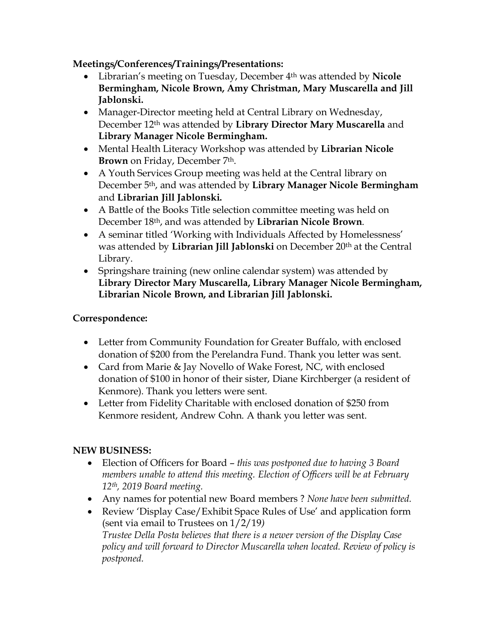**Meetings/Conferences/Trainings/Presentations:**

- Librarian's meeting on Tuesday, December 4th was attended by **Nicole Bermingham, Nicole Brown, Amy Christman, Mary Muscarella and Jill Jablonski.**
- Manager-Director meeting held at Central Library on Wednesday, December 12th was attended by **Library Director Mary Muscarella** and **Library Manager Nicole Bermingham.**
- Mental Health Literacy Workshop was attended by **Librarian Nicole Brown** on Friday, December 7<sup>th</sup>.
- A Youth Services Group meeting was held at the Central library on December 5th, and was attended by **Library Manager Nicole Bermingham** and **Librarian Jill Jablonski.**
- A Battle of the Books Title selection committee meeting was held on December 18th, and was attended by **Librarian Nicole Brown**.
- A seminar titled 'Working with Individuals Affected by Homelessness' was attended by **Librarian Jill Jablonski** on December 20<sup>th</sup> at the Central Library.
- Springshare training (new online calendar system) was attended by **Library Director Mary Muscarella, Library Manager Nicole Bermingham, Librarian Nicole Brown, and Librarian Jill Jablonski.**

# **Correspondence:**

- Letter from Community Foundation for Greater Buffalo, with enclosed donation of \$200 from the Perelandra Fund. Thank you letter was sent.
- Card from Marie & Jay Novello of Wake Forest, NC, with enclosed donation of \$100 in honor of their sister, Diane Kirchberger (a resident of Kenmore). Thank you letters were sent.
- Letter from Fidelity Charitable with enclosed donation of \$250 from Kenmore resident, Andrew Cohn. A thank you letter was sent.

# **NEW BUSINESS:**

- Election of Officers for Board *this was postponed due to having 3 Board members unable to attend this meeting. Election of Officers will be at February 12th, 2019 Board meeting.*
- Any names for potential new Board members ? *None have been submitted.*
- Review 'Display Case/Exhibit Space Rules of Use' and application form (sent via email to Trustees on 1/2/19*) Trustee Della Posta believes that there is a newer version of the Display Case policy and will forward to Director Muscarella when located. Review of policy is postponed.*